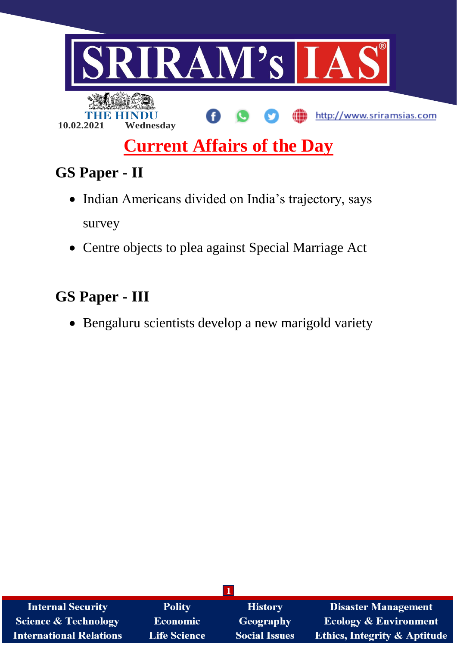

# **Current Affairs of the Day**

# **GS Paper - II**

- Indian Americans divided on India's trajectory, says survey
- Centre objects to plea against Special Marriage Act

# **GS Paper - III**

Bengaluru scientists develop a new marigold variety

| <b>Internal Security</b>       | <b>Polity</b>       | <b>History</b>       | <b>Disaster Management</b>              |
|--------------------------------|---------------------|----------------------|-----------------------------------------|
| Science & Technology           | <b>Economic</b>     | Geography            | <b>Ecology &amp; Environment</b>        |
| <b>International Relations</b> | <b>Life Science</b> | <b>Social Issues</b> | <b>Ethics, Integrity &amp; Aptitude</b> |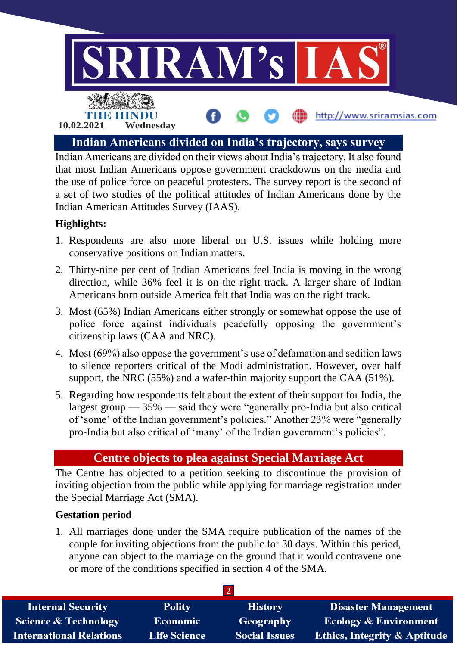

Indian Americans are divided on their views about India's trajectory. It also found that most Indian Americans oppose government crackdowns on the media and the use of police force on peaceful protesters. The survey report is the second of a set of two studies of the political attitudes of Indian Americans done by the Indian American Attitudes Survey (IAAS).

### **Highlights:**

- 1. Respondents are also more liberal on U.S. issues while holding more conservative positions on Indian matters.
- 2. Thirty-nine per cent of Indian Americans feel India is moving in the wrong direction, while 36% feel it is on the right track. A larger share of Indian Americans born outside America felt that India was on the right track.
- 3. Most (65%) Indian Americans either strongly or somewhat oppose the use of police force against individuals peacefully opposing the government's citizenship laws (CAA and NRC).
- 4. Most (69%) also oppose the government's use of defamation and sedition laws to silence reporters critical of the Modi administration. However, over half support, the NRC (55%) and a wafer-thin majority support the CAA (51%).
- 5. Regarding how respondents felt about the extent of their support for India, the largest group  $-35\%$  — said they were "generally pro-India but also critical of 'some' of the Indian government's policies." Another 23% were "generally pro-India but also critical of 'many' of the Indian government's policies".

### **Centre objects to plea against Special Marriage Act**

The Centre has objected to a petition seeking to discontinue the provision of inviting objection from the public while applying for marriage registration under the Special Marriage Act (SMA).

#### **Gestation period**

1. All marriages done under the SMA require publication of the names of the couple for inviting objections from the public for 30 days. Within this period, anyone can object to the marriage on the ground that it would contravene one or more of the conditions specified in section 4 of the SMA.

| <b>Internal Security</b>        | <b>Polity</b>       | <b>History</b>       | <b>Disaster Management</b>              |  |  |
|---------------------------------|---------------------|----------------------|-----------------------------------------|--|--|
| <b>Science &amp; Technology</b> | <b>Economic</b>     | Geography            | <b>Ecology &amp; Environment</b>        |  |  |
| <b>International Relations</b>  | <b>Life Science</b> | <b>Social Issues</b> | <b>Ethics, Integrity &amp; Aptitude</b> |  |  |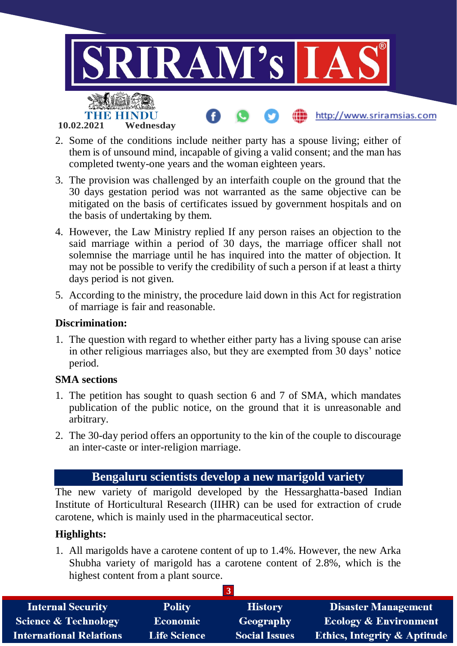

- 2. Some of the conditions include neither party has a spouse living; either of them is of unsound mind, incapable of giving a valid consent; and the man has completed twenty-one years and the woman eighteen years.
- 3. The provision was challenged by an interfaith couple on the ground that the 30 days gestation period was not warranted as the same objective can be mitigated on the basis of certificates issued by government hospitals and on the basis of undertaking by them.
- 4. However, the Law Ministry replied If any person raises an objection to the said marriage within a period of 30 days, the marriage officer shall not solemnise the marriage until he has inquired into the matter of objection. It may not be possible to verify the credibility of such a person if at least a thirty days period is not given.
- 5. According to the ministry, the procedure laid down in this Act for registration of marriage is fair and reasonable.

#### **Discrimination:**

1. The question with regard to whether either party has a living spouse can arise in other religious marriages also, but they are exempted from 30 days' notice period.

#### **SMA sections**

- 1. The petition has sought to quash section 6 and 7 of SMA, which mandates publication of the public notice, on the ground that it is unreasonable and arbitrary.
- 2. The 30-day period offers an opportunity to the kin of the couple to discourage an inter-caste or inter-religion marriage.

## **Bengaluru scientists develop a new marigold variety**

The new variety of marigold developed by the Hessarghatta-based Indian Institute of Horticultural Research (IIHR) can be used for extraction of crude carotene, which is mainly used in the pharmaceutical sector.

#### **Highlights:**

1. All marigolds have a carotene content of up to 1.4%. However, the new Arka Shubha variety of marigold has a carotene content of 2.8%, which is the highest content from a plant source.

| <b>Internal Security</b>        | <b>Polity</b>       | <b>History</b>       | <b>Disaster Management</b>              |  |  |  |
|---------------------------------|---------------------|----------------------|-----------------------------------------|--|--|--|
| <b>Science &amp; Technology</b> | <b>Economic</b>     | Geography            | <b>Ecology &amp; Environment</b>        |  |  |  |
| <b>International Relations</b>  | <b>Life Science</b> | <b>Social Issues</b> | <b>Ethics, Integrity &amp; Aptitude</b> |  |  |  |